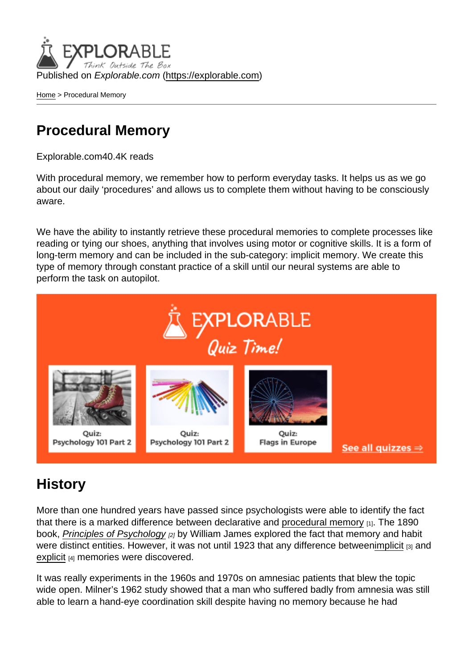Published on Explorable.com (<https://explorable.com>)

[Home](https://explorable.com/) > Procedural Memory

### Procedural Memory

Explorable.com40.4K reads

With procedural memory, we remember how to perform everyday tasks. It helps us as we go about our daily 'procedures' and allows us to complete them without having to be consciously aware.

We have the ability to instantly retrieve these procedural memories to complete processes like reading or tying our shoes, anything that involves using motor or cognitive skills. It is a form of long-term memory and can be included in the sub-category: implicit memory. We create this type of memory through constant practice of a skill until our neural systems are able to perform the task on autopilot.

#### **History**

More than one hundred years have passed since psychologists were able to identify the fact that there is a marked difference between declarative and [procedural memory](http://en.wikipedia.org/wiki/Procedural_memory) [1]. The 1890 book, [Principles of Psychology](http://psychclassics.yorku.ca/James/Principles/) [2] by William James explored the fact that memory and habit were distinct entities. However, it was not until 1923 that any difference between[implicit](https://explorable.com/implicit-memory) [3] and [explicit](https://explorable.com/explicit-memory) [4] memories were discovered.

It was really experiments in the 1960s and 1970s on amnesiac patients that blew the topic wide open. Milner's 1962 study showed that a man who suffered badly from amnesia was still able to learn a hand-eye coordination skill despite having no memory because he had